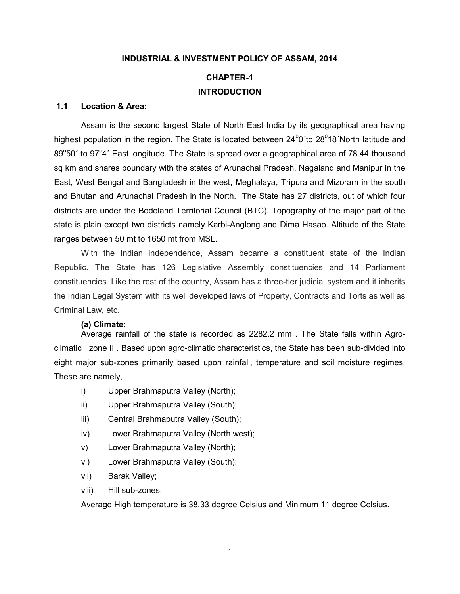#### INDUSTRIAL & INVESTMENT POLICY OF ASSAM, 2014

# CHAPTER-1 **INTRODUCTION**

#### 1.1 Location & Area:

Assam is the second largest State of North East India by its geographical area having highest population in the region. The State is located between  $24^00'$  to  $28^018'$  North latitude and 89°50' to 97°4' East longitude. The State is spread over a geographical area of 78.44 thousand sq km and shares boundary with the states of Arunachal Pradesh, Nagaland and Manipur in the East, West Bengal and Bangladesh in the west, Meghalaya, Tripura and Mizoram in the south and Bhutan and Arunachal Pradesh in the North. The State has 27 districts, out of which four districts are under the Bodoland Territorial Council (BTC). Topography of the major part of the state is plain except two districts namely Karbi-Anglong and Dima Hasao. Altitude of the State ranges between 50 mt to 1650 mt from MSL.

With the Indian independence, Assam became a constituent state of the Indian Republic. The State has 126 Legislative Assembly constituencies and 14 Parliament constituencies. Like the rest of the country, Assam has a three-tier judicial system and it inherits the Indian Legal System with its well developed laws of Property, Contracts and Torts as well as Criminal Law, etc.

#### (a) Climate:

Average rainfall of the state is recorded as 2282.2 mm . The State falls within Agroclimatic zone II . Based upon agro-climatic characteristics, the State has been sub-divided into eight major sub-zones primarily based upon rainfall, temperature and soil moisture regimes. These are namely,

- i) Upper Brahmaputra Valley (North);
- ii) Upper Brahmaputra Valley (South);
- iii) Central Brahmaputra Valley (South);
- iv) Lower Brahmaputra Valley (North west);
- v) Lower Brahmaputra Valley (North);
- vi) Lower Brahmaputra Valley (South);
- vii) Barak Valley;
- viii) Hill sub-zones.

Average High temperature is 38.33 degree Celsius and Minimum 11 degree Celsius.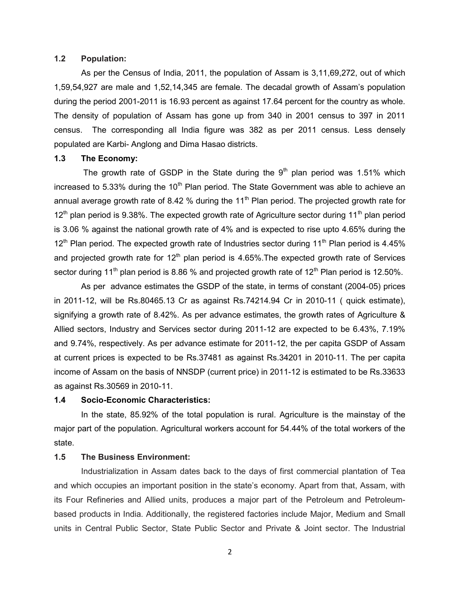#### 1.2 Population:

As per the Census of India, 2011, the population of Assam is 3,11,69,272, out of which 1,59,54,927 are male and 1,52,14,345 are female. The decadal growth of Assam's population during the period 2001-2011 is 16.93 percent as against 17.64 percent for the country as whole. The density of population of Assam has gone up from 340 in 2001 census to 397 in 2011 census. The corresponding all India figure was 382 as per 2011 census. Less densely populated are Karbi- Anglong and Dima Hasao districts.

#### 1.3 The Economy:

The growth rate of GSDP in the State during the  $9<sup>th</sup>$  plan period was 1.51% which increased to 5.33% during the  $10<sup>th</sup>$  Plan period. The State Government was able to achieve an annual average growth rate of 8.42 % during the 11<sup>th</sup> Plan period. The projected growth rate for  $12<sup>th</sup>$  plan period is 9.38%. The expected growth rate of Agriculture sector during 11<sup>th</sup> plan period is 3.06 % against the national growth rate of 4% and is expected to rise upto 4.65% during the  $12<sup>th</sup>$  Plan period. The expected growth rate of Industries sector during 11<sup>th</sup> Plan period is 4.45% and projected growth rate for  $12<sup>th</sup>$  plan period is 4.65%. The expected growth rate of Services sector during 11<sup>th</sup> plan period is 8.86 % and projected growth rate of 12<sup>th</sup> Plan period is 12.50%.

As per advance estimates the GSDP of the state, in terms of constant (2004-05) prices in 2011-12, will be Rs.80465.13 Cr as against Rs.74214.94 Cr in 2010-11 ( quick estimate), signifying a growth rate of 8.42%. As per advance estimates, the growth rates of Agriculture & Allied sectors, Industry and Services sector during 2011-12 are expected to be 6.43%, 7.19% and 9.74%, respectively. As per advance estimate for 2011-12, the per capita GSDP of Assam at current prices is expected to be Rs.37481 as against Rs.34201 in 2010-11. The per capita income of Assam on the basis of NNSDP (current price) in 2011-12 is estimated to be Rs.33633 as against Rs.30569 in 2010-11.

#### 1.4 Socio-Economic Characteristics:

In the state, 85.92% of the total population is rural. Agriculture is the mainstay of the major part of the population. Agricultural workers account for 54.44% of the total workers of the state.

#### 1.5 The Business Environment:

Industrialization in Assam dates back to the days of first commercial plantation of Tea and which occupies an important position in the state's economy. Apart from that, Assam, with its Four Refineries and Allied units, produces a major part of the Petroleum and Petroleumbased products in India. Additionally, the registered factories include Major, Medium and Small units in Central Public Sector, State Public Sector and Private & Joint sector. The Industrial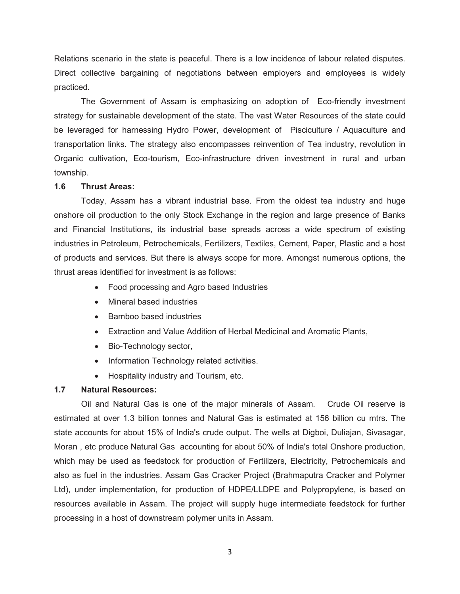Relations scenario in the state is peaceful. There is a low incidence of labour related disputes. Direct collective bargaining of negotiations between employers and employees is widely practiced.

The Government of Assam is emphasizing on adoption of Eco-friendly investment strategy for sustainable development of the state. The vast Water Resources of the state could be leveraged for harnessing Hydro Power, development of Pisciculture / Aquaculture and transportation links. The strategy also encompasses reinvention of Tea industry, revolution in Organic cultivation, Eco-tourism, Eco-infrastructure driven investment in rural and urban township.

#### 1.6 Thrust Areas:

Today, Assam has a vibrant industrial base. From the oldest tea industry and huge onshore oil production to the only Stock Exchange in the region and large presence of Banks and Financial Institutions, its industrial base spreads across a wide spectrum of existing industries in Petroleum, Petrochemicals, Fertilizers, Textiles, Cement, Paper, Plastic and a host of products and services. But there is always scope for more. Amongst numerous options, the thrust areas identified for investment is as follows:

- Food processing and Agro based Industries
- Mineral based industries
- Bamboo based industries
- Extraction and Value Addition of Herbal Medicinal and Aromatic Plants,
- Bio-Technology sector,
- Information Technology related activities.
- Hospitality industry and Tourism, etc.

## 1.7 Natural Resources:

Oil and Natural Gas is one of the major minerals of Assam. Crude Oil reserve is estimated at over 1.3 billion tonnes and Natural Gas is estimated at 156 billion cu mtrs. The state accounts for about 15% of India's crude output. The wells at Digboi, Duliajan, Sivasagar, Moran , etc produce Natural Gas accounting for about 50% of India's total Onshore production, which may be used as feedstock for production of Fertilizers, Electricity, Petrochemicals and also as fuel in the industries. Assam Gas Cracker Project (Brahmaputra Cracker and Polymer Ltd), under implementation, for production of HDPE/LLDPE and Polypropylene, is based on resources available in Assam. The project will supply huge intermediate feedstock for further processing in a host of downstream polymer units in Assam.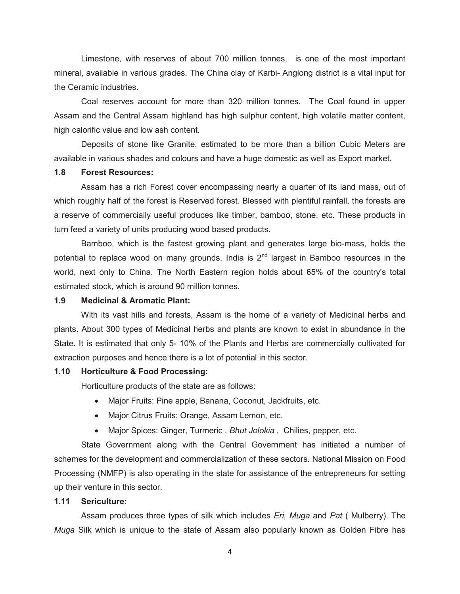Limestone, with reserves of about 700 million tonnes, is one of the most important mineral, available in various grades. The China clay of Karbi- Anglong district is a vital input for the Ceramic industries.

Coal reserves account for more than 320 million tonnes. The Coal found in upper Assam and the Central Assam highland has high sulphur content, high volatile matter content, high calorific value and low ash content.

Deposits of stone like Granite, estimated to be more than a billion Cubic Meters are available in various shades and colours and have a huge domestic as well as Export market.

#### 1.8 Forest Resources:

Assam has a rich Forest cover encompassing nearly a quarter of its land mass, out of which roughly half of the forest is Reserved forest. Blessed with plentiful rainfall, the forests are a reserve of commercially useful produces like timber, bamboo, stone, etc. These products in turn feed a variety of units producing wood based products.

Bamboo, which is the fastest growing plant and generates large bio-mass, holds the potential to replace wood on many grounds. India is  $2<sup>nd</sup>$  largest in Bamboo resources in the world, next only to China. The North Eastern region holds about 65% of the country's total estimated stock, which is around 90 million tonnes.

#### 1.9 Medicinal & Aromatic Plant:

With its vast hills and forests, Assam is the home of a variety of Medicinal herbs and plants. About 300 types of Medicinal herbs and plants are known to exist in abundance in the State. It is estimated that only 5- 10% of the Plants and Herbs are commercially cultivated for extraction purposes and hence there is a lot of potential in this sector.

#### 1.10 Horticulture & Food Processing:

Horticulture products of the state are as follows:

- Major Fruits: Pine apple, Banana, Coconut, Jackfruits, etc.
- Major Citrus Fruits: Orange, Assam Lemon, etc.
- Major Spices: Ginger, Turmeric, Bhut Jolokia, Chilies, pepper, etc.

State Government along with the Central Government has initiated a number of schemes for the development and commercialization of these sectors. National Mission on Food Processing (NMFP) is also operating in the state for assistance of the entrepreneurs for setting up their venture in this sector.

#### 1.11 Sericulture:

Assam produces three types of silk which includes Eri, Muga and Pat ( Mulberry). The Muga Silk which is unique to the state of Assam also popularly known as Golden Fibre has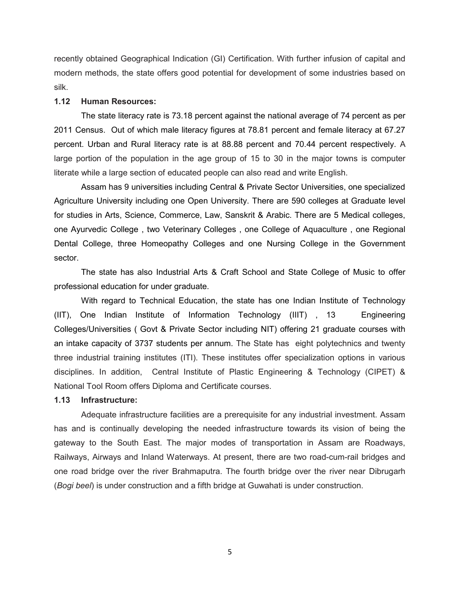recently obtained Geographical Indication (GI) Certification. With further infusion of capital and modern methods, the state offers good potential for development of some industries based on silk.

#### 1.12 Human Resources:

The state literacy rate is 73.18 percent against the national average of 74 percent as per 2011 Census. Out of which male literacy figures at 78.81 percent and female literacy at 67.27 percent. Urban and Rural literacy rate is at 88.88 percent and 70.44 percent respectively. A large portion of the population in the age group of 15 to 30 in the major towns is computer literate while a large section of educated people can also read and write English.

Assam has 9 universities including Central & Private Sector Universities, one specialized Agriculture University including one Open University. There are 590 colleges at Graduate level for studies in Arts, Science, Commerce, Law, Sanskrit & Arabic. There are 5 Medical colleges, one Ayurvedic College , two Veterinary Colleges , one College of Aquaculture , one Regional Dental College, three Homeopathy Colleges and one Nursing College in the Government sector.

The state has also Industrial Arts & Craft School and State College of Music to offer professional education for under graduate.

With regard to Technical Education, the state has one Indian Institute of Technology (IIT), One Indian Institute of Information Technology (IIIT) , 13 Engineering Colleges/Universities ( Govt & Private Sector including NIT) offering 21 graduate courses with an intake capacity of 3737 students per annum. The State has eight polytechnics and twenty three industrial training institutes (ITI). These institutes offer specialization options in various disciplines. In addition, Central Institute of Plastic Engineering & Technology (CIPET) & National Tool Room offers Diploma and Certificate courses.

#### 1.13 Infrastructure:

Adequate infrastructure facilities are a prerequisite for any industrial investment. Assam has and is continually developing the needed infrastructure towards its vision of being the gateway to the South East. The major modes of transportation in Assam are Roadways, Railways, Airways and Inland Waterways. At present, there are two road-cum-rail bridges and one road bridge over the river Brahmaputra. The fourth bridge over the river near Dibrugarh (Bogi beel) is under construction and a fifth bridge at Guwahati is under construction.

5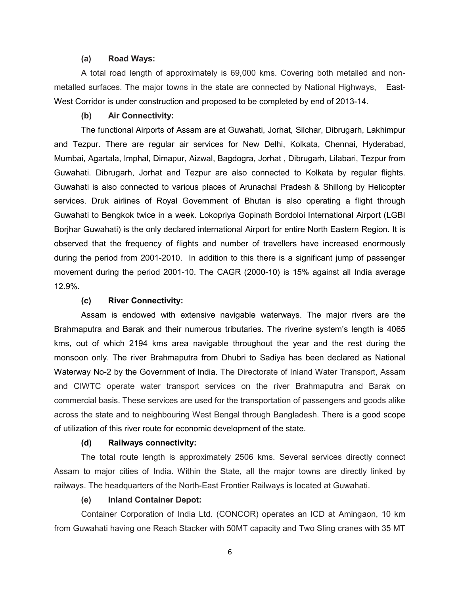#### (a) Road Ways:

A total road length of approximately is 69,000 kms. Covering both metalled and nonmetalled surfaces. The major towns in the state are connected by National Highways, East-West Corridor is under construction and proposed to be completed by end of 2013-14.

## (b) Air Connectivity:

The functional Airports of Assam are at Guwahati, Jorhat, Silchar, Dibrugarh, Lakhimpur and Tezpur. There are regular air services for New Delhi, Kolkata, Chennai, Hyderabad, Mumbai, Agartala, Imphal, Dimapur, Aizwal, Bagdogra, Jorhat , Dibrugarh, Lilabari, Tezpur from Guwahati. Dibrugarh, Jorhat and Tezpur are also connected to Kolkata by regular flights. Guwahati is also connected to various places of Arunachal Pradesh & Shillong by Helicopter services. Druk airlines of Royal Government of Bhutan is also operating a flight through Guwahati to Bengkok twice in a week. Lokopriya Gopinath Bordoloi International Airport (LGBI Borjhar Guwahati) is the only declared international Airport for entire North Eastern Region. It is observed that the frequency of flights and number of travellers have increased enormously during the period from 2001-2010. In addition to this there is a significant jump of passenger movement during the period 2001-10. The CAGR (2000-10) is 15% against all India average 12.9%.

#### (c) River Connectivity:

Assam is endowed with extensive navigable waterways. The major rivers are the Brahmaputra and Barak and their numerous tributaries. The riverine system's length is 4065 kms, out of which 2194 kms area navigable throughout the year and the rest during the monsoon only. The river Brahmaputra from Dhubri to Sadiya has been declared as National Waterway No-2 by the Government of India. The Directorate of Inland Water Transport, Assam and CIWTC operate water transport services on the river Brahmaputra and Barak on commercial basis. These services are used for the transportation of passengers and goods alike across the state and to neighbouring West Bengal through Bangladesh. There is a good scope of utilization of this river route for economic development of the state.

#### (d) Railways connectivity:

The total route length is approximately 2506 kms. Several services directly connect Assam to major cities of India. Within the State, all the major towns are directly linked by railways. The headquarters of the North-East Frontier Railways is located at Guwahati.

#### (e) Inland Container Depot:

Container Corporation of India Ltd. (CONCOR) operates an ICD at Amingaon, 10 km from Guwahati having one Reach Stacker with 50MT capacity and Two Sling cranes with 35 MT

6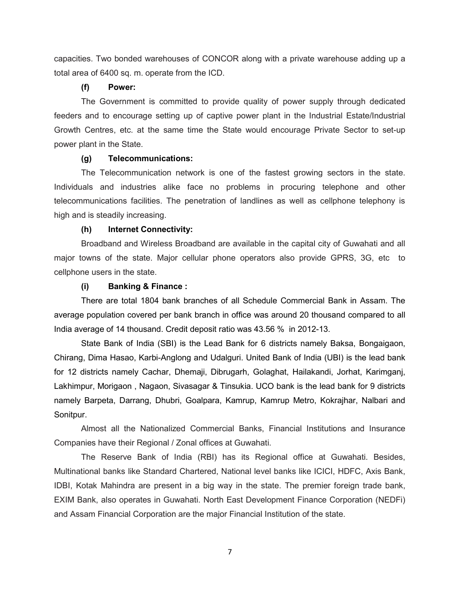capacities. Two bonded warehouses of CONCOR along with a private warehouse adding up a total area of 6400 sq. m. operate from the ICD.

#### (f) Power:

The Government is committed to provide quality of power supply through dedicated feeders and to encourage setting up of captive power plant in the Industrial Estate/Industrial Growth Centres, etc. at the same time the State would encourage Private Sector to set-up power plant in the State.

#### (g) Telecommunications:

The Telecommunication network is one of the fastest growing sectors in the state. Individuals and industries alike face no problems in procuring telephone and other telecommunications facilities. The penetration of landlines as well as cellphone telephony is high and is steadily increasing.

#### (h) Internet Connectivity:

Broadband and Wireless Broadband are available in the capital city of Guwahati and all major towns of the state. Major cellular phone operators also provide GPRS, 3G, etc to cellphone users in the state.

#### (i) Banking & Finance :

There are total 1804 bank branches of all Schedule Commercial Bank in Assam. The average population covered per bank branch in office was around 20 thousand compared to all India average of 14 thousand. Credit deposit ratio was 43.56 % in 2012-13.

State Bank of India (SBI) is the Lead Bank for 6 districts namely Baksa, Bongaigaon, Chirang, Dima Hasao, Karbi-Anglong and Udalguri. United Bank of India (UBI) is the lead bank for 12 districts namely Cachar, Dhemaji, Dibrugarh, Golaghat, Hailakandi, Jorhat, Karimganj, Lakhimpur, Morigaon , Nagaon, Sivasagar & Tinsukia. UCO bank is the lead bank for 9 districts namely Barpeta, Darrang, Dhubri, Goalpara, Kamrup, Kamrup Metro, Kokrajhar, Nalbari and Sonitpur.

Almost all the Nationalized Commercial Banks, Financial Institutions and Insurance Companies have their Regional / Zonal offices at Guwahati.

The Reserve Bank of India (RBI) has its Regional office at Guwahati. Besides, Multinational banks like Standard Chartered, National level banks like ICICI, HDFC, Axis Bank, IDBI, Kotak Mahindra are present in a big way in the state. The premier foreign trade bank, EXIM Bank, also operates in Guwahati. North East Development Finance Corporation (NEDFi) and Assam Financial Corporation are the major Financial Institution of the state.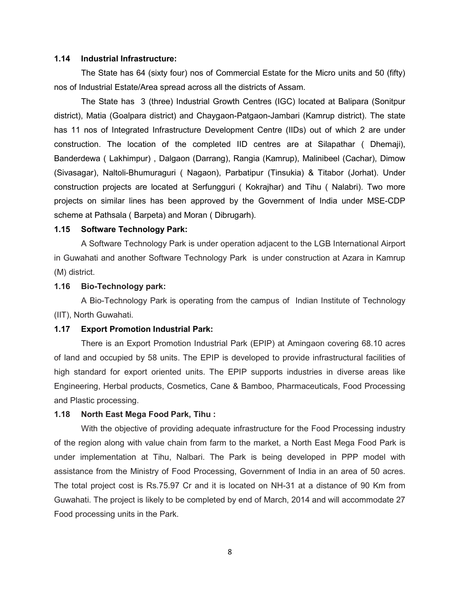#### 1.14 Industrial Infrastructure:

The State has 64 (sixty four) nos of Commercial Estate for the Micro units and 50 (fifty) nos of Industrial Estate/Area spread across all the districts of Assam.

The State has 3 (three) Industrial Growth Centres (IGC) located at Balipara (Sonitpur district), Matia (Goalpara district) and Chaygaon-Patgaon-Jambari (Kamrup district). The state has 11 nos of Integrated Infrastructure Development Centre (IIDs) out of which 2 are under construction. The location of the completed IID centres are at Silapathar ( Dhemaji), Banderdewa ( Lakhimpur) , Dalgaon (Darrang), Rangia (Kamrup), Malinibeel (Cachar), Dimow (Sivasagar), Naltoli-Bhumuraguri ( Nagaon), Parbatipur (Tinsukia) & Titabor (Jorhat). Under construction projects are located at Serfungguri ( Kokrajhar) and Tihu ( Nalabri). Two more projects on similar lines has been approved by the Government of India under MSE-CDP scheme at Pathsala ( Barpeta) and Moran ( Dibrugarh).

#### 1.15 Software Technology Park:

A Software Technology Park is under operation adjacent to the LGB International Airport in Guwahati and another Software Technology Park is under construction at Azara in Kamrup (M) district.

#### 1.16 Bio-Technology park:

A Bio-Technology Park is operating from the campus of Indian Institute of Technology (IIT), North Guwahati.

#### 1.17 Export Promotion Industrial Park:

There is an Export Promotion Industrial Park (EPIP) at Amingaon covering 68.10 acres of land and occupied by 58 units. The EPIP is developed to provide infrastructural facilities of high standard for export oriented units. The EPIP supports industries in diverse areas like Engineering, Herbal products, Cosmetics, Cane & Bamboo, Pharmaceuticals, Food Processing and Plastic processing.

#### 1.18 North East Mega Food Park, Tihu :

With the objective of providing adequate infrastructure for the Food Processing industry of the region along with value chain from farm to the market, a North East Mega Food Park is under implementation at Tihu, Nalbari. The Park is being developed in PPP model with assistance from the Ministry of Food Processing, Government of India in an area of 50 acres. The total project cost is Rs.75.97 Cr and it is located on NH-31 at a distance of 90 Km from Guwahati. The project is likely to be completed by end of March, 2014 and will accommodate 27 Food processing units in the Park.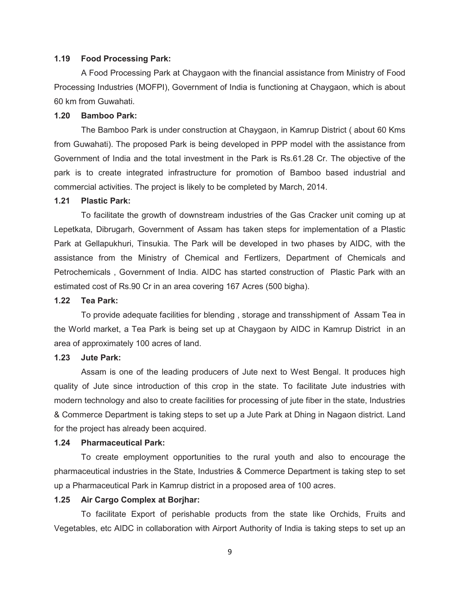#### 1.19 Food Processing Park:

A Food Processing Park at Chaygaon with the financial assistance from Ministry of Food Processing Industries (MOFPI), Government of India is functioning at Chaygaon, which is about 60 km from Guwahati.

## 1.20 Bamboo Park:

The Bamboo Park is under construction at Chaygaon, in Kamrup District ( about 60 Kms from Guwahati). The proposed Park is being developed in PPP model with the assistance from Government of India and the total investment in the Park is Rs.61.28 Cr. The objective of the park is to create integrated infrastructure for promotion of Bamboo based industrial and commercial activities. The project is likely to be completed by March, 2014.

#### 1.21 Plastic Park:

To facilitate the growth of downstream industries of the Gas Cracker unit coming up at Lepetkata, Dibrugarh, Government of Assam has taken steps for implementation of a Plastic Park at Gellapukhuri, Tinsukia. The Park will be developed in two phases by AIDC, with the assistance from the Ministry of Chemical and Fertlizers, Department of Chemicals and Petrochemicals , Government of India. AIDC has started construction of Plastic Park with an estimated cost of Rs.90 Cr in an area covering 167 Acres (500 bigha).

#### 1.22 Tea Park:

To provide adequate facilities for blending , storage and transshipment of Assam Tea in the World market, a Tea Park is being set up at Chaygaon by AIDC in Kamrup District in an area of approximately 100 acres of land.

#### 1.23 Jute Park:

Assam is one of the leading producers of Jute next to West Bengal. It produces high quality of Jute since introduction of this crop in the state. To facilitate Jute industries with modern technology and also to create facilities for processing of jute fiber in the state, Industries & Commerce Department is taking steps to set up a Jute Park at Dhing in Nagaon district. Land for the project has already been acquired.

#### 1.24 Pharmaceutical Park:

 To create employment opportunities to the rural youth and also to encourage the pharmaceutical industries in the State, Industries & Commerce Department is taking step to set up a Pharmaceutical Park in Kamrup district in a proposed area of 100 acres.

#### 1.25 Air Cargo Complex at Borjhar:

 To facilitate Export of perishable products from the state like Orchids, Fruits and Vegetables, etc AIDC in collaboration with Airport Authority of India is taking steps to set up an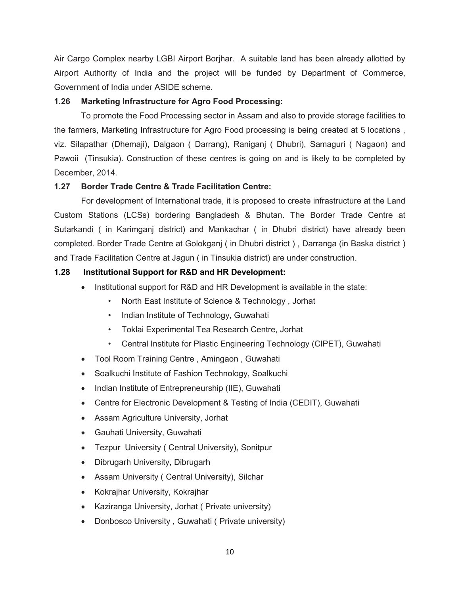Air Cargo Complex nearby LGBI Airport Borjhar. A suitable land has been already allotted by Airport Authority of India and the project will be funded by Department of Commerce, Government of India under ASIDE scheme.

## 1.26 Marketing Infrastructure for Agro Food Processing:

To promote the Food Processing sector in Assam and also to provide storage facilities to the farmers, Marketing Infrastructure for Agro Food processing is being created at 5 locations , viz. Silapathar (Dhemaji), Dalgaon ( Darrang), Raniganj ( Dhubri), Samaguri ( Nagaon) and Pawoii (Tinsukia). Construction of these centres is going on and is likely to be completed by December, 2014.

## 1.27 Border Trade Centre & Trade Facilitation Centre:

For development of International trade, it is proposed to create infrastructure at the Land Custom Stations (LCSs) bordering Bangladesh & Bhutan. The Border Trade Centre at Sutarkandi ( in Karimganj district) and Mankachar ( in Dhubri district) have already been completed. Border Trade Centre at Golokganj ( in Dhubri district ) , Darranga (in Baska district ) and Trade Facilitation Centre at Jagun ( in Tinsukia district) are under construction.

## 1.28 Institutional Support for R&D and HR Development:

- Institutional support for R&D and HR Development is available in the state:
	- North East Institute of Science & Technology , Jorhat
	- Indian Institute of Technology, Guwahati
	- Toklai Experimental Tea Research Centre, Jorhat
	- Central Institute for Plastic Engineering Technology (CIPET), Guwahati
- Tool Room Training Centre , Amingaon , Guwahati
- Soalkuchi Institute of Fashion Technology, Soalkuchi
- Indian Institute of Entrepreneurship (IIE), Guwahati
- Centre for Electronic Development & Testing of India (CEDIT), Guwahati
- Assam Agriculture University, Jorhat
- Gauhati University, Guwahati
- Tezpur University ( Central University), Sonitpur
- Dibrugarh University, Dibrugarh
- Assam University ( Central University), Silchar
- Kokrajhar University, Kokrajhar
- Kaziranga University, Jorhat ( Private university)
- Donbosco University, Guwahati ( Private university)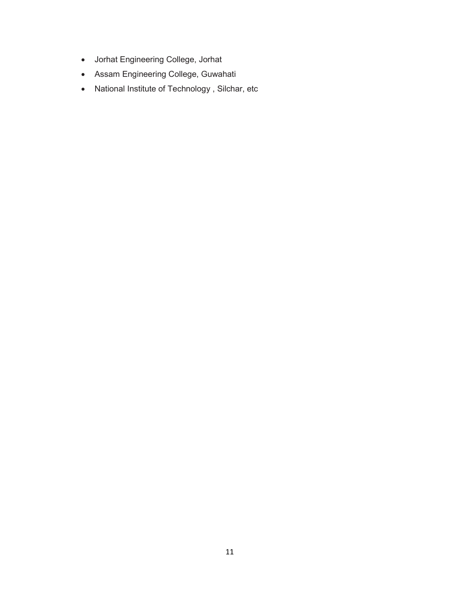- Jorhat Engineering College, Jorhat
- Assam Engineering College, Guwahati
- National Institute of Technology , Silchar, etc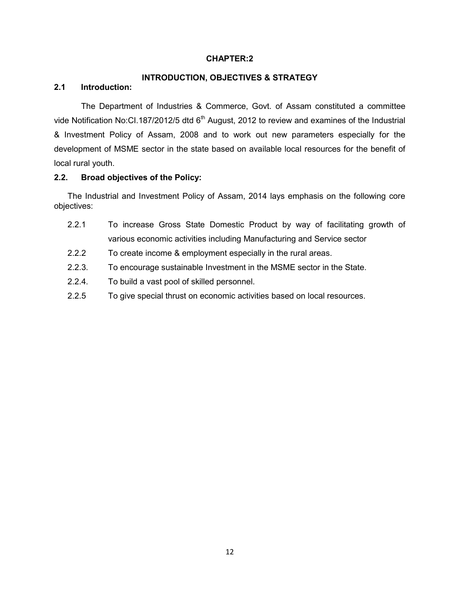## INTRODUCTION, OBJECTIVES & STRATEGY

# 2.1 Introduction:

The Department of Industries & Commerce, Govt. of Assam constituted a committee vide Notification No:CI.187/2012/5 dtd  $6<sup>th</sup>$  August, 2012 to review and examines of the Industrial & Investment Policy of Assam, 2008 and to work out new parameters especially for the development of MSME sector in the state based on available local resources for the benefit of local rural youth.

## 2.2. Broad objectives of the Policy:

The Industrial and Investment Policy of Assam, 2014 lays emphasis on the following core objectives:

- 2.2.1 To increase Gross State Domestic Product by way of facilitating growth of various economic activities including Manufacturing and Service sector
- 2.2.2 To create income & employment especially in the rural areas.
- 2.2.3. To encourage sustainable Investment in the MSME sector in the State.
- 2.2.4. To build a vast pool of skilled personnel.
- 2.2.5 To give special thrust on economic activities based on local resources.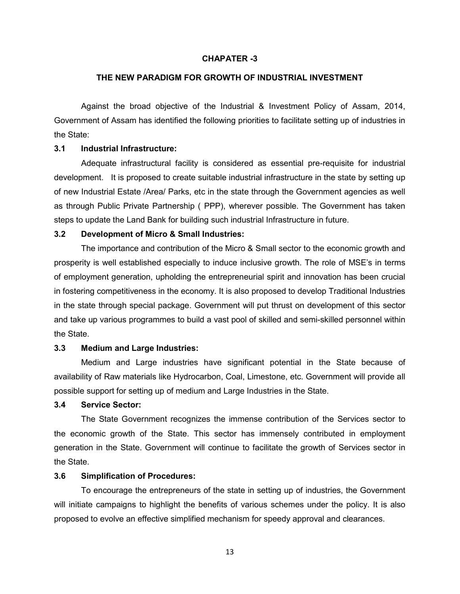#### CHAPATER -3

#### THE NEW PARADIGM FOR GROWTH OF INDUSTRIAL INVESTMENT

 Against the broad objective of the Industrial & Investment Policy of Assam, 2014, Government of Assam has identified the following priorities to facilitate setting up of industries in the State:

### 3.1 Industrial Infrastructure:

Adequate infrastructural facility is considered as essential pre-requisite for industrial development. It is proposed to create suitable industrial infrastructure in the state by setting up of new Industrial Estate /Area/ Parks, etc in the state through the Government agencies as well as through Public Private Partnership ( PPP), wherever possible. The Government has taken steps to update the Land Bank for building such industrial Infrastructure in future.

#### 3.2 Development of Micro & Small Industries:

 The importance and contribution of the Micro & Small sector to the economic growth and prosperity is well established especially to induce inclusive growth. The role of MSE's in terms of employment generation, upholding the entrepreneurial spirit and innovation has been crucial in fostering competitiveness in the economy. It is also proposed to develop Traditional Industries in the state through special package. Government will put thrust on development of this sector and take up various programmes to build a vast pool of skilled and semi-skilled personnel within the State.

## 3.3 Medium and Large Industries:

Medium and Large industries have significant potential in the State because of availability of Raw materials like Hydrocarbon, Coal, Limestone, etc. Government will provide all possible support for setting up of medium and Large Industries in the State.

#### 3.4 Service Sector:

 The State Government recognizes the immense contribution of the Services sector to the economic growth of the State. This sector has immensely contributed in employment generation in the State. Government will continue to facilitate the growth of Services sector in the State.

#### 3.6 Simplification of Procedures:

To encourage the entrepreneurs of the state in setting up of industries, the Government will initiate campaigns to highlight the benefits of various schemes under the policy. It is also proposed to evolve an effective simplified mechanism for speedy approval and clearances.

13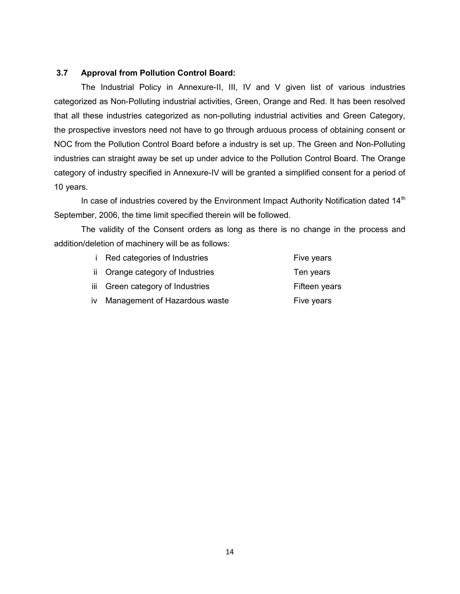## 3.7 Approval from Pollution Control Board:

The Industrial Policy in Annexure-II, III, IV and V given list of various industries categorized as Non-Polluting industrial activities, Green, Orange and Red. It has been resolved that all these industries categorized as non-polluting industrial activities and Green Category, the prospective investors need not have to go through arduous process of obtaining consent or NOC from the Pollution Control Board before a industry is set up. The Green and Non-Polluting industries can straight away be set up under advice to the Pollution Control Board. The Orange category of industry specified in Annexure-IV will be granted a simplified consent for a period of 10 years.

In case of industries covered by the Environment Impact Authority Notification dated 14<sup>th</sup> September, 2006, the time limit specified therein will be followed.

 The validity of the Consent orders as long as there is no change in the process and addition/deletion of machinery will be as follows:

| <i>i</i> Red categories of Industries | Five years    |
|---------------------------------------|---------------|
| ii Orange category of Industries      | Ten years     |
| iii Green category of Industries      | Fifteen years |
| iv Management of Hazardous waste      | Five years    |
|                                       |               |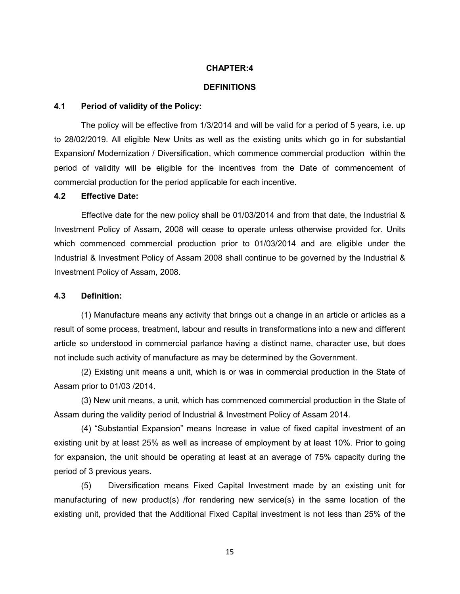#### **DEFINITIONS**

#### 4.1 Period of validity of the Policy:

The policy will be effective from 1/3/2014 and will be valid for a period of 5 years, i.e. up to 28/02/2019. All eligible New Units as well as the existing units which go in for substantial Expansion/ Modernization / Diversification, which commence commercial production within the period of validity will be eligible for the incentives from the Date of commencement of commercial production for the period applicable for each incentive.

#### 4.2 Effective Date:

Effective date for the new policy shall be 01/03/2014 and from that date, the Industrial & Investment Policy of Assam, 2008 will cease to operate unless otherwise provided for. Units which commenced commercial production prior to 01/03/2014 and are eligible under the Industrial & Investment Policy of Assam 2008 shall continue to be governed by the Industrial & Investment Policy of Assam, 2008.

#### 4.3 Definition:

(1) Manufacture means any activity that brings out a change in an article or articles as a result of some process, treatment, labour and results in transformations into a new and different article so understood in commercial parlance having a distinct name, character use, but does not include such activity of manufacture as may be determined by the Government.

(2) Existing unit means a unit, which is or was in commercial production in the State of Assam prior to 01/03 /2014.

(3) New unit means, a unit, which has commenced commercial production in the State of Assam during the validity period of Industrial & Investment Policy of Assam 2014.

(4) "Substantial Expansion" means Increase in value of fixed capital investment of an existing unit by at least 25% as well as increase of employment by at least 10%. Prior to going for expansion, the unit should be operating at least at an average of 75% capacity during the period of 3 previous years.

 (5) Diversification means Fixed Capital Investment made by an existing unit for manufacturing of new product(s) /for rendering new service(s) in the same location of the existing unit, provided that the Additional Fixed Capital investment is not less than 25% of the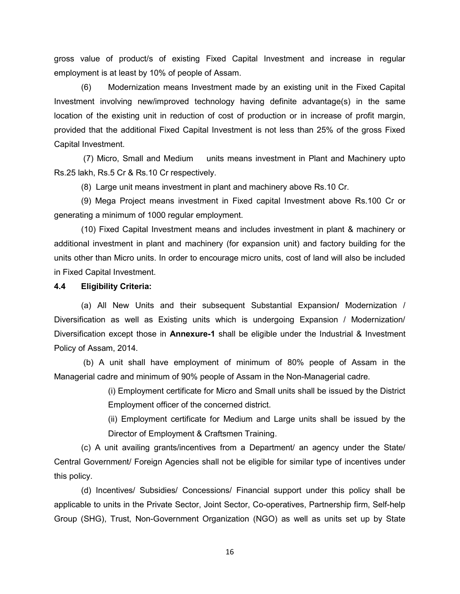gross value of product/s of existing Fixed Capital Investment and increase in regular employment is at least by 10% of people of Assam.

 (6) Modernization means Investment made by an existing unit in the Fixed Capital Investment involving new/improved technology having definite advantage(s) in the same location of the existing unit in reduction of cost of production or in increase of profit margin, provided that the additional Fixed Capital Investment is not less than 25% of the gross Fixed Capital Investment.

 (7) Micro, Small and Medium units means investment in Plant and Machinery upto Rs.25 lakh, Rs.5 Cr & Rs.10 Cr respectively.

(8) Large unit means investment in plant and machinery above Rs.10 Cr.

(9) Mega Project means investment in Fixed capital Investment above Rs.100 Cr or generating a minimum of 1000 regular employment.

(10) Fixed Capital Investment means and includes investment in plant & machinery or additional investment in plant and machinery (for expansion unit) and factory building for the units other than Micro units. In order to encourage micro units, cost of land will also be included in Fixed Capital Investment.

## 4.4 Eligibility Criteria:

 (a) All New Units and their subsequent Substantial Expansion/ Modernization / Diversification as well as Existing units which is undergoing Expansion / Modernization/ Diversification except those in Annexure-1 shall be eligible under the Industrial & Investment Policy of Assam, 2014.

 (b) A unit shall have employment of minimum of 80% people of Assam in the Managerial cadre and minimum of 90% people of Assam in the Non-Managerial cadre.

> (i) Employment certificate for Micro and Small units shall be issued by the District Employment officer of the concerned district.

> (ii) Employment certificate for Medium and Large units shall be issued by the Director of Employment & Craftsmen Training.

(c) A unit availing grants/incentives from a Department/ an agency under the State/ Central Government/ Foreign Agencies shall not be eligible for similar type of incentives under this policy.

(d) Incentives/ Subsidies/ Concessions/ Financial support under this policy shall be applicable to units in the Private Sector, Joint Sector, Co-operatives, Partnership firm, Self-help Group (SHG), Trust, Non-Government Organization (NGO) as well as units set up by State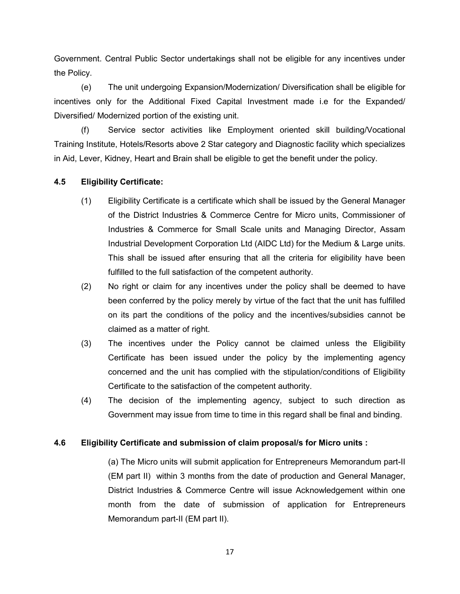Government. Central Public Sector undertakings shall not be eligible for any incentives under the Policy.

(e) The unit undergoing Expansion/Modernization/ Diversification shall be eligible for incentives only for the Additional Fixed Capital Investment made i.e for the Expanded/ Diversified/ Modernized portion of the existing unit.

(f) Service sector activities like Employment oriented skill building/Vocational Training Institute, Hotels/Resorts above 2 Star category and Diagnostic facility which specializes in Aid, Lever, Kidney, Heart and Brain shall be eligible to get the benefit under the policy.

## 4.5 Eligibility Certificate:

- (1) Eligibility Certificate is a certificate which shall be issued by the General Manager of the District Industries & Commerce Centre for Micro units, Commissioner of Industries & Commerce for Small Scale units and Managing Director, Assam Industrial Development Corporation Ltd (AIDC Ltd) for the Medium & Large units. This shall be issued after ensuring that all the criteria for eligibility have been fulfilled to the full satisfaction of the competent authority.
- (2) No right or claim for any incentives under the policy shall be deemed to have been conferred by the policy merely by virtue of the fact that the unit has fulfilled on its part the conditions of the policy and the incentives/subsidies cannot be claimed as a matter of right.
- (3) The incentives under the Policy cannot be claimed unless the Eligibility Certificate has been issued under the policy by the implementing agency concerned and the unit has complied with the stipulation/conditions of Eligibility Certificate to the satisfaction of the competent authority.
- (4) The decision of the implementing agency, subject to such direction as Government may issue from time to time in this regard shall be final and binding.

## 4.6 Eligibility Certificate and submission of claim proposal/s for Micro units :

(a) The Micro units will submit application for Entrepreneurs Memorandum part-II (EM part II) within 3 months from the date of production and General Manager, District Industries & Commerce Centre will issue Acknowledgement within one month from the date of submission of application for Entrepreneurs Memorandum part-II (EM part II).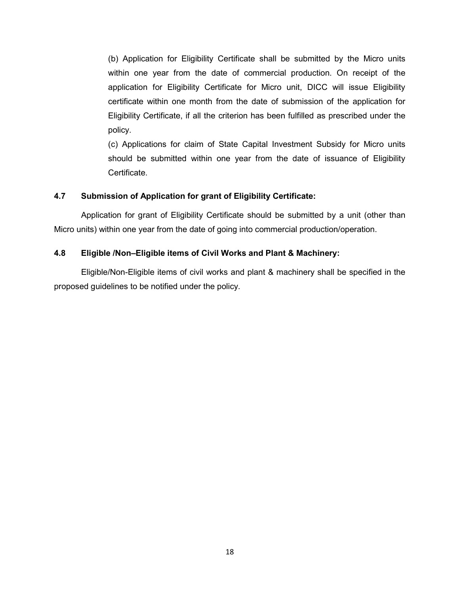(b) Application for Eligibility Certificate shall be submitted by the Micro units within one year from the date of commercial production. On receipt of the application for Eligibility Certificate for Micro unit, DICC will issue Eligibility certificate within one month from the date of submission of the application for Eligibility Certificate, if all the criterion has been fulfilled as prescribed under the policy.

(c) Applications for claim of State Capital Investment Subsidy for Micro units should be submitted within one year from the date of issuance of Eligibility Certificate.

## 4.7 Submission of Application for grant of Eligibility Certificate:

Application for grant of Eligibility Certificate should be submitted by a unit (other than Micro units) within one year from the date of going into commercial production/operation.

## 4.8 Eligible /Non–Eligible items of Civil Works and Plant & Machinery:

Eligible/Non-Eligible items of civil works and plant & machinery shall be specified in the proposed guidelines to be notified under the policy.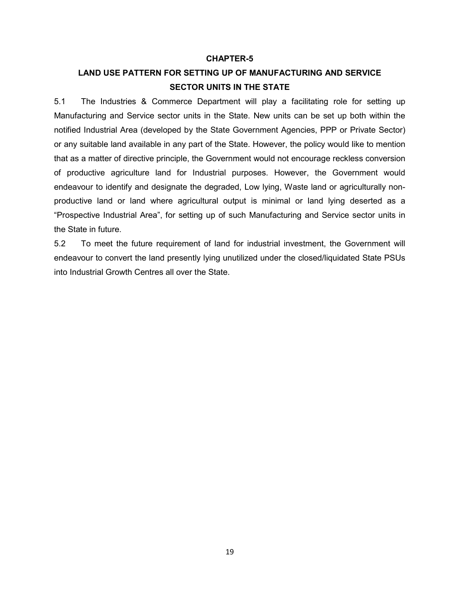#### CHAPTER-5

# LAND USE PATTERN FOR SETTING UP OF MANUFACTURING AND SERVICE SECTOR UNITS IN THE STATE

5.1 The Industries & Commerce Department will play a facilitating role for setting up Manufacturing and Service sector units in the State. New units can be set up both within the notified Industrial Area (developed by the State Government Agencies, PPP or Private Sector) or any suitable land available in any part of the State. However, the policy would like to mention that as a matter of directive principle, the Government would not encourage reckless conversion of productive agriculture land for Industrial purposes. However, the Government would endeavour to identify and designate the degraded, Low lying, Waste land or agriculturally nonproductive land or land where agricultural output is minimal or land lying deserted as a "Prospective Industrial Area", for setting up of such Manufacturing and Service sector units in the State in future.

5.2 To meet the future requirement of land for industrial investment, the Government will endeavour to convert the land presently lying unutilized under the closed/liquidated State PSUs into Industrial Growth Centres all over the State.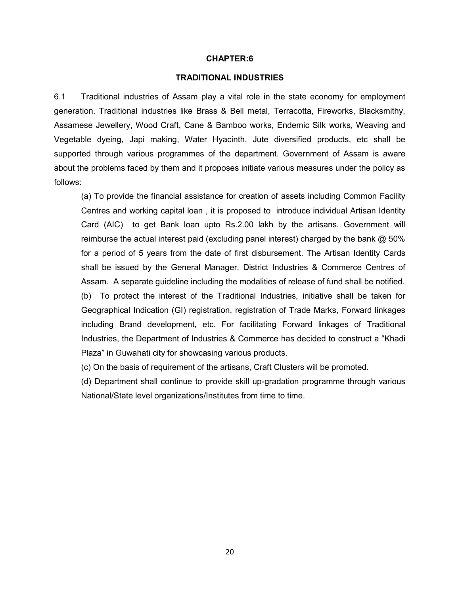#### TRADITIONAL INDUSTRIES

6.1 Traditional industries of Assam play a vital role in the state economy for employment generation. Traditional industries like Brass & Bell metal, Terracotta, Fireworks, Blacksmithy, Assamese Jewellery, Wood Craft, Cane & Bamboo works, Endemic Silk works, Weaving and Vegetable dyeing, Japi making, Water Hyacinth, Jute diversified products, etc shall be supported through various programmes of the department. Government of Assam is aware about the problems faced by them and it proposes initiate various measures under the policy as follows:

(a) To provide the financial assistance for creation of assets including Common Facility Centres and working capital loan , it is proposed to introduce individual Artisan Identity Card (AIC) to get Bank loan upto Rs.2.00 lakh by the artisans. Government will reimburse the actual interest paid (excluding panel interest) charged by the bank  $@$  50% for a period of 5 years from the date of first disbursement. The Artisan Identity Cards shall be issued by the General Manager, District Industries & Commerce Centres of Assam. A separate guideline including the modalities of release of fund shall be notified. (b) To protect the interest of the Traditional Industries, initiative shall be taken for Geographical Indication (GI) registration, registration of Trade Marks, Forward linkages including Brand development, etc. For facilitating Forward linkages of Traditional Industries, the Department of Industries & Commerce has decided to construct a "Khadi Plaza" in Guwahati city for showcasing various products.

(c) On the basis of requirement of the artisans, Craft Clusters will be promoted.

(d) Department shall continue to provide skill up-gradation programme through various National/State level organizations/Institutes from time to time.

20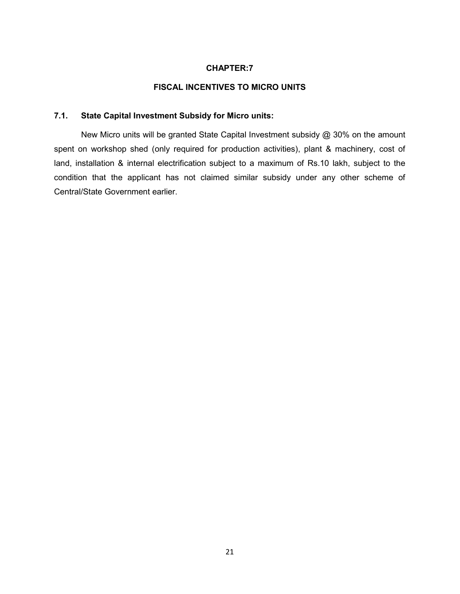## FISCAL INCENTIVES TO MICRO UNITS

## 7.1. State Capital Investment Subsidy for Micro units:

New Micro units will be granted State Capital Investment subsidy @ 30% on the amount spent on workshop shed (only required for production activities), plant & machinery, cost of land, installation & internal electrification subject to a maximum of Rs.10 lakh, subject to the condition that the applicant has not claimed similar subsidy under any other scheme of Central/State Government earlier.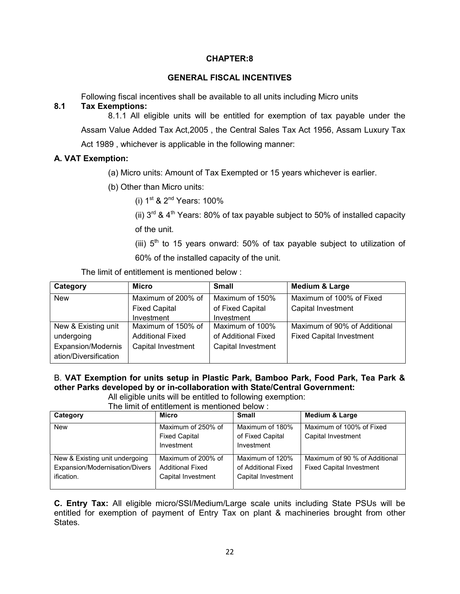## GENERAL FISCAL INCENTIVES

Following fiscal incentives shall be available to all units including Micro units

## 8.1 Tax Exemptions:

8.1.1 All eligible units will be entitled for exemption of tax payable under the Assam Value Added Tax Act,2005 , the Central Sales Tax Act 1956, Assam Luxury Tax Act 1989 , whichever is applicable in the following manner:

## A. VAT Exemption:

(a) Micro units: Amount of Tax Exempted or 15 years whichever is earlier.

- (b) Other than Micro units:
	- (i)  $1^{st}$  &  $2^{nd}$  Years: 100%

(ii)  $3^{rd}$  &  $4^{th}$  Years: 80% of tax payable subject to 50% of installed capacity of the unit.

(iii)  $5<sup>th</sup>$  to 15 years onward: 50% of tax payable subject to utilization of 60% of the installed capacity of the unit.

The limit of entitlement is mentioned below :

| Category                                    | <b>Micro</b>              | <b>Small</b>        | <b>Medium &amp; Large</b>       |
|---------------------------------------------|---------------------------|---------------------|---------------------------------|
| <b>New</b>                                  | Maximum of 200% of        | Maximum of 150%     | Maximum of 100% of Fixed        |
|                                             | <b>Fixed Capital</b>      | of Fixed Capital    | <b>Capital Investment</b>       |
|                                             | Investment                | Investment          |                                 |
| New & Existing unit                         | Maximum of 150% of        | Maximum of 100%     | Maximum of 90% of Additional    |
| undergoing                                  | <b>Additional Fixed</b>   | of Additional Fixed | <b>Fixed Capital Investment</b> |
| Expansion/Modernis<br>ation/Diversification | <b>Capital Investment</b> | Capital Investment  |                                 |

# B. VAT Exemption for units setup in Plastic Park, Bamboo Park, Food Park, Tea Park & other Parks developed by or in-collaboration with State/Central Government:

All eligible units will be entitled to following exemption:

The limit of entitlement is mentioned below :

| Category                                                                       | <b>Micro</b>                                                        | <b>Small</b>                                                 | <b>Medium &amp; Large</b>                                        |
|--------------------------------------------------------------------------------|---------------------------------------------------------------------|--------------------------------------------------------------|------------------------------------------------------------------|
| <b>New</b>                                                                     | Maximum of 250% of<br><b>Fixed Capital</b><br>Investment            | Maximum of 180%<br>of Fixed Capital<br>Investment            | Maximum of 100% of Fixed<br>Capital Investment                   |
| New & Existing unit undergoing<br>Expansion/Modernisation/Divers<br>ification. | Maximum of 200% of<br><b>Additional Fixed</b><br>Capital Investment | Maximum of 120%<br>of Additional Fixed<br>Capital Investment | Maximum of 90 % of Additional<br><b>Fixed Capital Investment</b> |

C. Entry Tax: All eligible micro/SSI/Medium/Large scale units including State PSUs will be entitled for exemption of payment of Entry Tax on plant & machineries brought from other States.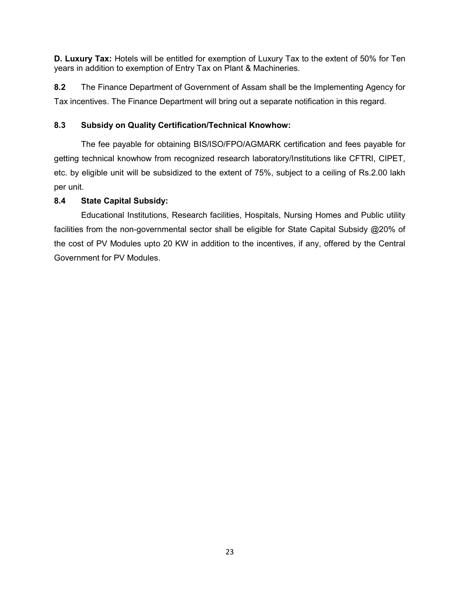D. Luxury Tax: Hotels will be entitled for exemption of Luxury Tax to the extent of 50% for Ten years in addition to exemption of Entry Tax on Plant & Machineries.

8.2 The Finance Department of Government of Assam shall be the Implementing Agency for Tax incentives. The Finance Department will bring out a separate notification in this regard.

## 8.3 Subsidy on Quality Certification/Technical Knowhow:

The fee payable for obtaining BIS/ISO/FPO/AGMARK certification and fees payable for getting technical knowhow from recognized research laboratory/Institutions like CFTRI, CIPET, etc. by eligible unit will be subsidized to the extent of 75%, subject to a ceiling of Rs.2.00 lakh per unit.

## 8.4 State Capital Subsidy:

 Educational Institutions, Research facilities, Hospitals, Nursing Homes and Public utility facilities from the non-governmental sector shall be eligible for State Capital Subsidy @20% of the cost of PV Modules upto 20 KW in addition to the incentives, if any, offered by the Central Government for PV Modules.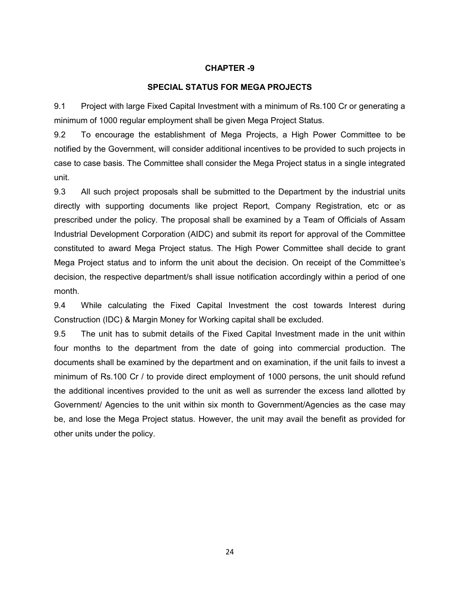#### CHAPTER -9

#### SPECIAL STATUS FOR MEGA PROJECTS

9.1 Project with large Fixed Capital Investment with a minimum of Rs.100 Cr or generating a minimum of 1000 regular employment shall be given Mega Project Status.

9.2 To encourage the establishment of Mega Projects, a High Power Committee to be notified by the Government, will consider additional incentives to be provided to such projects in case to case basis. The Committee shall consider the Mega Project status in a single integrated unit.

9.3 All such project proposals shall be submitted to the Department by the industrial units directly with supporting documents like project Report, Company Registration, etc or as prescribed under the policy. The proposal shall be examined by a Team of Officials of Assam Industrial Development Corporation (AIDC) and submit its report for approval of the Committee constituted to award Mega Project status. The High Power Committee shall decide to grant Mega Project status and to inform the unit about the decision. On receipt of the Committee's decision, the respective department/s shall issue notification accordingly within a period of one month.

9.4 While calculating the Fixed Capital Investment the cost towards Interest during Construction (IDC) & Margin Money for Working capital shall be excluded.

9.5 The unit has to submit details of the Fixed Capital Investment made in the unit within four months to the department from the date of going into commercial production. The documents shall be examined by the department and on examination, if the unit fails to invest a minimum of Rs.100 Cr / to provide direct employment of 1000 persons, the unit should refund the additional incentives provided to the unit as well as surrender the excess land allotted by Government/ Agencies to the unit within six month to Government/Agencies as the case may be, and lose the Mega Project status. However, the unit may avail the benefit as provided for other units under the policy.

24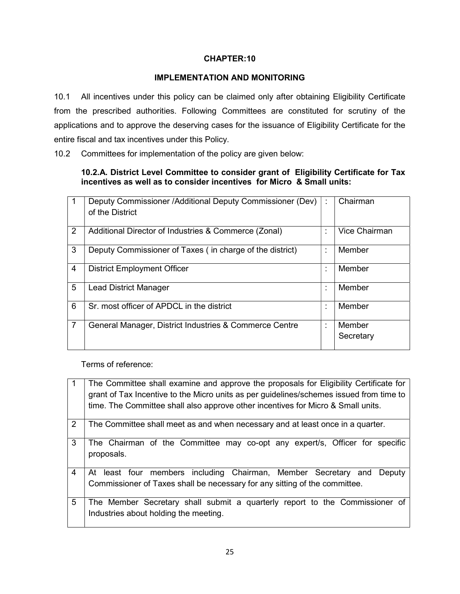## IMPLEMENTATION AND MONITORING

10.1 All incentives under this policy can be claimed only after obtaining Eligibility Certificate from the prescribed authorities. Following Committees are constituted for scrutiny of the applications and to approve the deserving cases for the issuance of Eligibility Certificate for the entire fiscal and tax incentives under this Policy.

10.2 Committees for implementation of the policy are given below:

## 10.2.A. District Level Committee to consider grant of Eligibility Certificate for Tax incentives as well as to consider incentives for Micro & Small units:

|                | Deputy Commissioner / Additional Deputy Commissioner (Dev)<br>of the District | ÷                             | Chairman            |
|----------------|-------------------------------------------------------------------------------|-------------------------------|---------------------|
| 2              | Additional Director of Industries & Commerce (Zonal)                          | $\blacksquare$                | Vice Chairman       |
| 3              | Deputy Commissioner of Taxes (in charge of the district)                      | $\blacksquare$                | Member              |
| $\overline{4}$ | <b>District Employment Officer</b>                                            | ٠<br>×                        | Member              |
| 5              | <b>Lead District Manager</b>                                                  | ٠                             | Member              |
| 6              | Sr. most officer of APDCL in the district                                     | ٠<br>$\overline{\phantom{a}}$ | Member              |
| 7              | General Manager, District Industries & Commerce Centre                        | ÷                             | Member<br>Secretary |

Terms of reference:

|                | The Committee shall examine and approve the proposals for Eligibility Certificate for<br>grant of Tax Incentive to the Micro units as per guidelines/schemes issued from time to<br>time. The Committee shall also approve other incentives for Micro & Small units. |
|----------------|----------------------------------------------------------------------------------------------------------------------------------------------------------------------------------------------------------------------------------------------------------------------|
| $\overline{2}$ | The Committee shall meet as and when necessary and at least once in a quarter.                                                                                                                                                                                       |
| 3              | The Chairman of the Committee may co-opt any expert/s, Officer for specific<br>proposals.                                                                                                                                                                            |
| 4              | At least four members including Chairman, Member Secretary and<br>Deputy<br>Commissioner of Taxes shall be necessary for any sitting of the committee.                                                                                                               |
| 5              | The Member Secretary shall submit a quarterly report to the Commissioner of<br>Industries about holding the meeting.                                                                                                                                                 |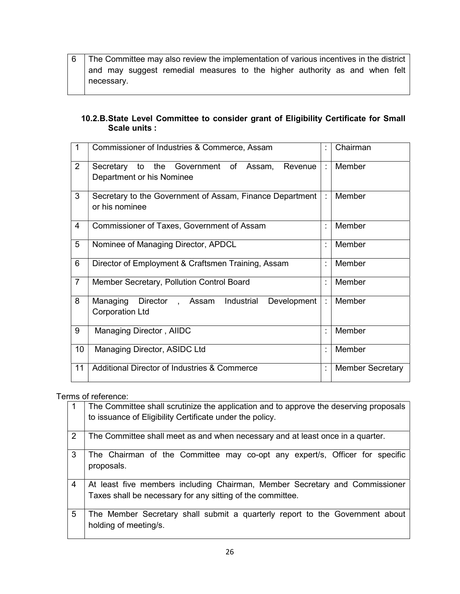## 10.2.B. State Level Committee to consider grant of Eligibility Certificate for Small Scale units :

| 1              | Commissioner of Industries & Commerce, Assam                                        | t              | Chairman                |
|----------------|-------------------------------------------------------------------------------------|----------------|-------------------------|
| $\overline{2}$ | the Government of Assam,<br>to<br>Revenue<br>Secretary<br>Department or his Nominee | ÷              | Member                  |
| 3              | Secretary to the Government of Assam, Finance Department<br>or his nominee          | ÷              | Member                  |
| 4              | <b>Commissioner of Taxes, Government of Assam</b>                                   | $\ddot{\cdot}$ | Member                  |
| 5              | Nominee of Managing Director, APDCL                                                 | t              | Member                  |
| 6              | Director of Employment & Craftsmen Training, Assam                                  | t              | Member                  |
| $\overline{7}$ | Member Secretary, Pollution Control Board                                           | t              | Member                  |
| 8              | Industrial<br>Managing<br>Director, Assam<br>Development<br><b>Corporation Ltd</b>  | ÷.             | Member                  |
| 9              | Managing Director, AIIDC                                                            | $\ddot{\cdot}$ | Member                  |
| 10             | Managing Director, ASIDC Ltd                                                        | t              | Member                  |
| 11             | <b>Additional Director of Industries &amp; Commerce</b>                             | t              | <b>Member Secretary</b> |

## Terms of reference:

|                | The Committee shall scrutinize the application and to approve the deserving proposals<br>to issuance of Eligibility Certificate under the policy. |
|----------------|---------------------------------------------------------------------------------------------------------------------------------------------------|
| $\overline{2}$ | The Committee shall meet as and when necessary and at least once in a quarter.                                                                    |
| 3              | The Chairman of the Committee may co-opt any expert/s, Officer for specific<br>proposals.                                                         |
| $\overline{4}$ | At least five members including Chairman, Member Secretary and Commissioner<br>Taxes shall be necessary for any sitting of the committee.         |
| 5              | The Member Secretary shall submit a quarterly report to the Government about<br>holding of meeting/s.                                             |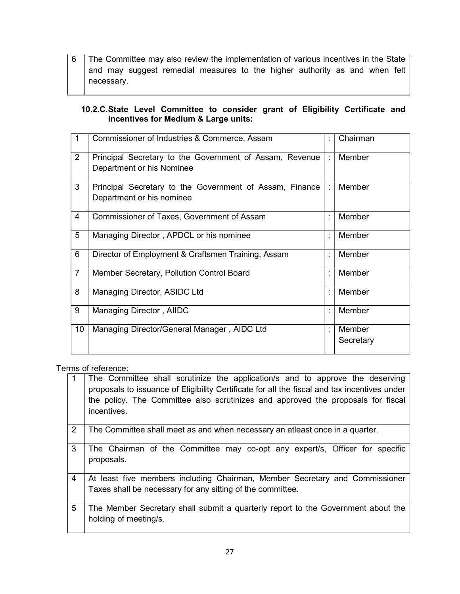## 10.2.C. State Level Committee to consider grant of Eligibility Certificate and incentives for Medium & Large units:

| 1              | Commissioner of Industries & Commerce, Assam                                         |   | Chairman            |
|----------------|--------------------------------------------------------------------------------------|---|---------------------|
| $\overline{2}$ | Principal Secretary to the Government of Assam, Revenue<br>Department or his Nominee |   | Member              |
| 3              | Principal Secretary to the Government of Assam, Finance<br>Department or his nominee |   | Member              |
| 4              | Commissioner of Taxes, Government of Assam                                           | t | Member              |
| 5              | Managing Director, APDCL or his nominee                                              |   | Member              |
| 6              | Director of Employment & Craftsmen Training, Assam                                   |   | Member              |
| $\overline{7}$ | Member Secretary, Pollution Control Board                                            |   | Member              |
| 8              | Managing Director, ASIDC Ltd                                                         | ÷ | Member              |
| 9              | Managing Director, AIIDC                                                             |   | Member              |
| 10             | Managing Director/General Manager, AIDC Ltd                                          | ٠ | Member<br>Secretary |

Terms of reference:

| 1              | The Committee shall scrutinize the application/s and to approve the deserving<br>proposals to issuance of Eligibility Certificate for all the fiscal and tax incentives under<br>the policy. The Committee also scrutinizes and approved the proposals for fiscal<br>incentives. |
|----------------|----------------------------------------------------------------------------------------------------------------------------------------------------------------------------------------------------------------------------------------------------------------------------------|
| 2              | The Committee shall meet as and when necessary an atleast once in a quarter.                                                                                                                                                                                                     |
| 3              | The Chairman of the Committee may co-opt any expert/s, Officer for specific<br>proposals.                                                                                                                                                                                        |
| $\overline{4}$ | At least five members including Chairman, Member Secretary and Commissioner<br>Taxes shall be necessary for any sitting of the committee.                                                                                                                                        |
| 5              | The Member Secretary shall submit a quarterly report to the Government about the<br>holding of meeting/s.                                                                                                                                                                        |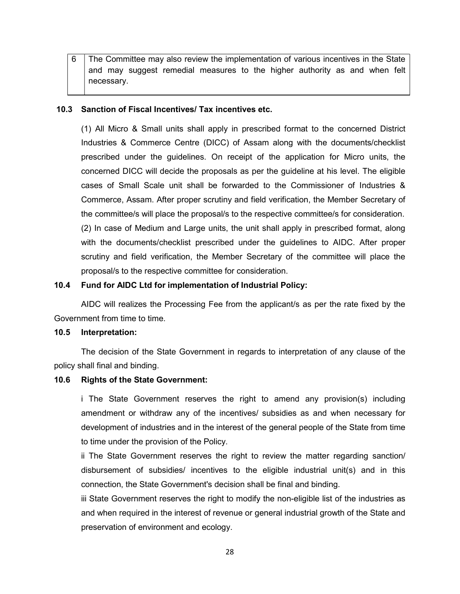6 The Committee may also review the implementation of various incentives in the State and may suggest remedial measures to the higher authority as and when felt necessary.

## 10.3 Sanction of Fiscal Incentives/ Tax incentives etc.

(1) All Micro & Small units shall apply in prescribed format to the concerned District Industries & Commerce Centre (DICC) of Assam along with the documents/checklist prescribed under the guidelines. On receipt of the application for Micro units, the concerned DICC will decide the proposals as per the guideline at his level. The eligible cases of Small Scale unit shall be forwarded to the Commissioner of Industries & Commerce, Assam. After proper scrutiny and field verification, the Member Secretary of the committee/s will place the proposal/s to the respective committee/s for consideration. (2) In case of Medium and Large units, the unit shall apply in prescribed format, along with the documents/checklist prescribed under the guidelines to AIDC. After proper scrutiny and field verification, the Member Secretary of the committee will place the proposal/s to the respective committee for consideration.

## 10.4 Fund for AIDC Ltd for implementation of Industrial Policy:

AIDC will realizes the Processing Fee from the applicant/s as per the rate fixed by the Government from time to time.

#### 10.5 Interpretation:

The decision of the State Government in regards to interpretation of any clause of the policy shall final and binding.

#### 10.6 Rights of the State Government:

i The State Government reserves the right to amend any provision(s) including amendment or withdraw any of the incentives/ subsidies as and when necessary for development of industries and in the interest of the general people of the State from time to time under the provision of the Policy.

ii The State Government reserves the right to review the matter regarding sanction/ disbursement of subsidies/ incentives to the eligible industrial unit(s) and in this connection, the State Government's decision shall be final and binding.

iii State Government reserves the right to modify the non-eligible list of the industries as and when required in the interest of revenue or general industrial growth of the State and preservation of environment and ecology.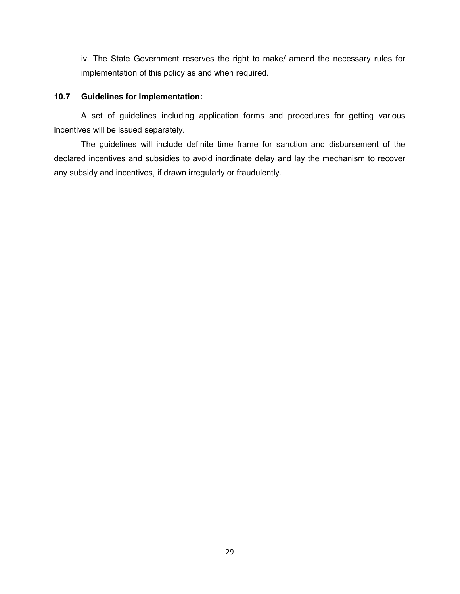iv. The State Government reserves the right to make/ amend the necessary rules for implementation of this policy as and when required.

## 10.7 Guidelines for Implementation:

A set of guidelines including application forms and procedures for getting various incentives will be issued separately.

The guidelines will include definite time frame for sanction and disbursement of the declared incentives and subsidies to avoid inordinate delay and lay the mechanism to recover any subsidy and incentives, if drawn irregularly or fraudulently.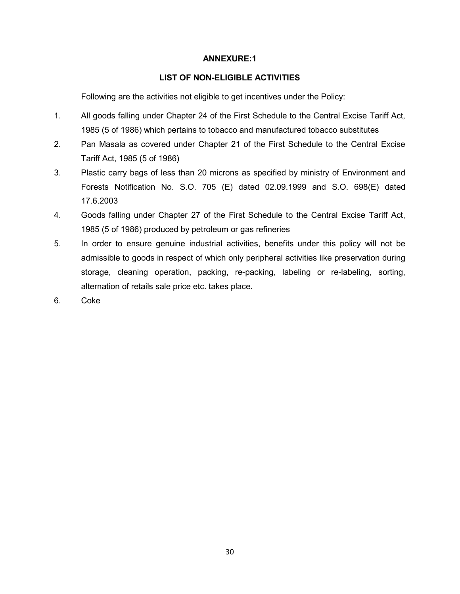## ANNEXURE:1

## LIST OF NON-ELIGIBLE ACTIVITIES

Following are the activities not eligible to get incentives under the Policy:

- 1. All goods falling under Chapter 24 of the First Schedule to the Central Excise Tariff Act, 1985 (5 of 1986) which pertains to tobacco and manufactured tobacco substitutes
- 2. Pan Masala as covered under Chapter 21 of the First Schedule to the Central Excise Tariff Act, 1985 (5 of 1986)
- 3. Plastic carry bags of less than 20 microns as specified by ministry of Environment and Forests Notification No. S.O. 705 (E) dated 02.09.1999 and S.O. 698(E) dated 17.6.2003
- 4. Goods falling under Chapter 27 of the First Schedule to the Central Excise Tariff Act, 1985 (5 of 1986) produced by petroleum or gas refineries
- 5. In order to ensure genuine industrial activities, benefits under this policy will not be admissible to goods in respect of which only peripheral activities like preservation during storage, cleaning operation, packing, re-packing, labeling or re-labeling, sorting, alternation of retails sale price etc. takes place.
- 6. Coke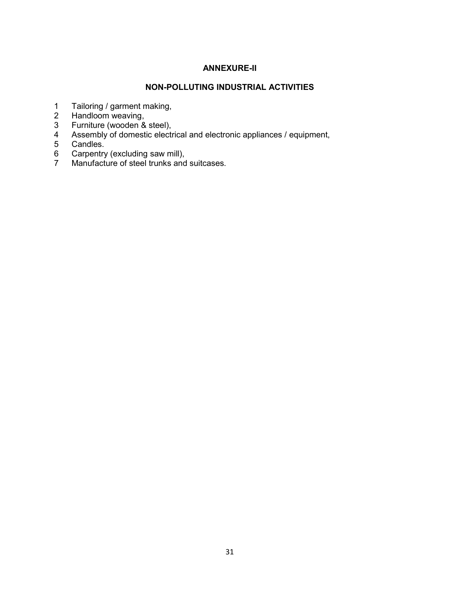# ANNEXURE-II

## NON-POLLUTING INDUSTRIAL ACTIVITIES

- 1 Tailoring / garment making,
- 2 Handloom weaving,
- 3 Furniture (wooden & steel),
- 4 Assembly of domestic electrical and electronic appliances / equipment,<br>5 Candles.
- 5 Candles.<br>6 Carpentry
- 6 Carpentry (excluding saw mill),
- 7 Manufacture of steel trunks and suitcases.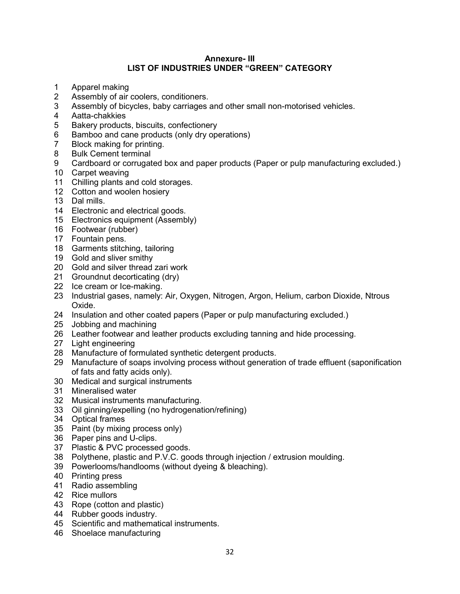## Annexure- III LIST OF INDUSTRIES UNDER "GREEN" CATEGORY

- 1 Apparel making
- 2 Assembly of air coolers, conditioners.
- 3 Assembly of bicycles, baby carriages and other small non-motorised vehicles.
- 4 Aatta-chakkies
- 5 Bakery products, biscuits, confectionery
- 6 Bamboo and cane products (only dry operations)
- 7 Block making for printing.
- 8 Bulk Cement terminal
- 9 Cardboard or corrugated box and paper products (Paper or pulp manufacturing excluded.)
- Carpet weaving
- Chilling plants and cold storages.
- Cotton and woolen hosiery
- Dal mills.
- Electronic and electrical goods.
- Electronics equipment (Assembly)
- Footwear (rubber)
- Fountain pens.
- Garments stitching, tailoring
- Gold and sliver smithy
- Gold and silver thread zari work
- Groundnut decorticating (dry)
- Ice cream or Ice-making.
- Industrial gases, namely: Air, Oxygen, Nitrogen, Argon, Helium, carbon Dioxide, Ntrous Oxide.
- Insulation and other coated papers (Paper or pulp manufacturing excluded.)
- Jobbing and machining
- Leather footwear and leather products excluding tanning and hide processing.
- Light engineering
- Manufacture of formulated synthetic detergent products.
- Manufacture of soaps involving process without generation of trade effluent (saponification of fats and fatty acids only).
- Medical and surgical instruments
- Mineralised water
- Musical instruments manufacturing.
- Oil ginning/expelling (no hydrogenation/refining)
- Optical frames
- Paint (by mixing process only)
- Paper pins and U-clips.
- Plastic & PVC processed goods.
- Polythene, plastic and P.V.C. goods through injection / extrusion moulding.
- Powerlooms/handlooms (without dyeing & bleaching).
- Printing press
- Radio assembling
- Rice mullors
- Rope (cotton and plastic)
- Rubber goods industry.
- Scientific and mathematical instruments.
- Shoelace manufacturing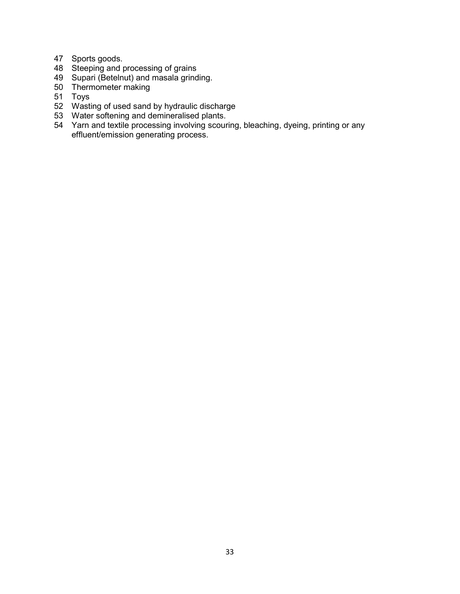- Sports goods.
- Steeping and processing of grains
- Supari (Betelnut) and masala grinding.
- Thermometer making
- Toys
- Wasting of used sand by hydraulic discharge
- Water softening and demineralised plants.
- Yarn and textile processing involving scouring, bleaching, dyeing, printing or any effluent/emission generating process.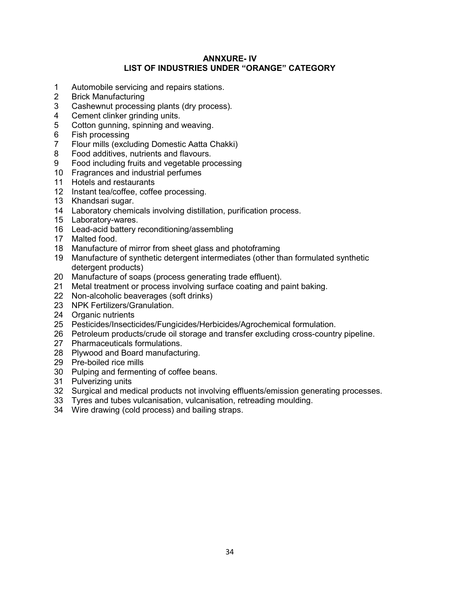## ANNXURE- IV LIST OF INDUSTRIES UNDER "ORANGE" CATEGORY

- 1 Automobile servicing and repairs stations.
- 2 Brick Manufacturing
- 3 Cashewnut processing plants (dry process).
- 4 Cement clinker grinding units.
- 5 Cotton gunning, spinning and weaving.
- 6 Fish processing
- 7 Flour mills (excluding Domestic Aatta Chakki)
- 8 Food additives, nutrients and flavours.
- 9 Food including fruits and vegetable processing
- Fragrances and industrial perfumes
- Hotels and restaurants
- Instant tea/coffee, coffee processing.
- Khandsari sugar.
- Laboratory chemicals involving distillation, purification process.
- Laboratory-wares.
- Lead-acid battery reconditioning/assembling
- Malted food.
- Manufacture of mirror from sheet glass and photoframing
- Manufacture of synthetic detergent intermediates (other than formulated synthetic detergent products)
- Manufacture of soaps (process generating trade effluent).
- Metal treatment or process involving surface coating and paint baking.
- Non-alcoholic beaverages (soft drinks)
- NPK Fertilizers/Granulation.
- 24 Organic nutrients
- Pesticides/Insecticides/Fungicides/Herbicides/Agrochemical formulation.
- Petroleum products/crude oil storage and transfer excluding cross-country pipeline.
- Pharmaceuticals formulations.
- Plywood and Board manufacturing.
- Pre-boiled rice mills
- Pulping and fermenting of coffee beans.
- Pulverizing units
- Surgical and medical products not involving effluents/emission generating processes.
- Tyres and tubes vulcanisation, vulcanisation, retreading moulding.
- Wire drawing (cold process) and bailing straps.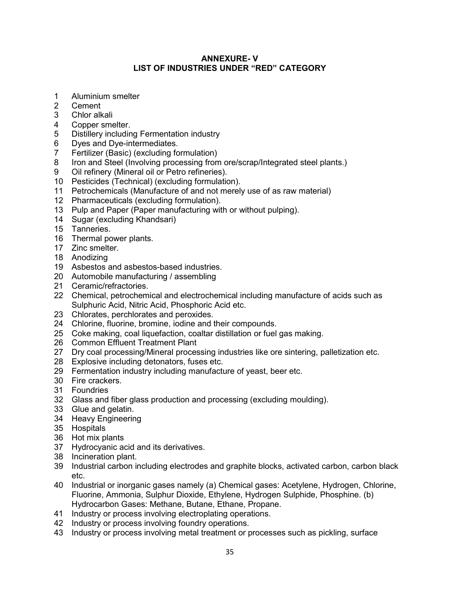## ANNEXURE- V LIST OF INDUSTRIES UNDER "RED" CATEGORY

- 1 Aluminium smelter
- 2 Cement
- 3 Chlor alkali
- 4 Copper smelter.
- 5 Distillery including Fermentation industry
- 6 Dyes and Dye-intermediates.
- 7 Fertilizer (Basic) (excluding formulation)
- 8 Iron and Steel (Involving processing from ore/scrap/Integrated steel plants.)
- 9 Oil refinery (Mineral oil or Petro refineries).
- Pesticides (Technical) (excluding formulation).
- Petrochemicals (Manufacture of and not merely use of as raw material)
- Pharmaceuticals (excluding formulation).
- Pulp and Paper (Paper manufacturing with or without pulping).
- Sugar (excluding Khandsari)
- Tanneries.
- Thermal power plants.
- Zinc smelter.
- Anodizing
- Asbestos and asbestos-based industries.
- Automobile manufacturing / assembling
- Ceramic/refractories.
- Chemical, petrochemical and electrochemical including manufacture of acids such as Sulphuric Acid, Nitric Acid, Phosphoric Acid etc.
- Chlorates, perchlorates and peroxides.
- Chlorine, fluorine, bromine, iodine and their compounds.
- Coke making, coal liquefaction, coaltar distillation or fuel gas making.
- Common Effluent Treatment Plant
- Dry coal processing/Mineral processing industries like ore sintering, palletization etc.
- Explosive including detonators, fuses etc.
- Fermentation industry including manufacture of yeast, beer etc.
- Fire crackers.
- Foundries
- Glass and fiber glass production and processing (excluding moulding).
- Glue and gelatin.
- Heavy Engineering
- Hospitals
- Hot mix plants
- Hydrocyanic acid and its derivatives.
- Incineration plant.
- Industrial carbon including electrodes and graphite blocks, activated carbon, carbon black etc.
- Industrial or inorganic gases namely (a) Chemical gases: Acetylene, Hydrogen, Chlorine, Fluorine, Ammonia, Sulphur Dioxide, Ethylene, Hydrogen Sulphide, Phosphine. (b) Hydrocarbon Gases: Methane, Butane, Ethane, Propane.
- Industry or process involving electroplating operations.
- Industry or process involving foundry operations.
- Industry or process involving metal treatment or processes such as pickling, surface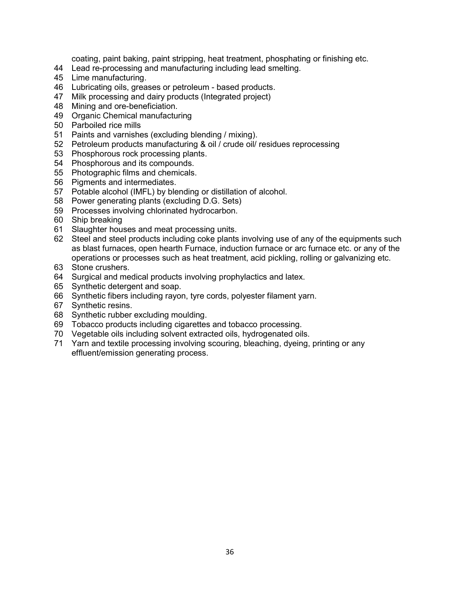coating, paint baking, paint stripping, heat treatment, phosphating or finishing etc.

- Lead re-processing and manufacturing including lead smelting.
- Lime manufacturing.
- Lubricating oils, greases or petroleum based products.
- Milk processing and dairy products (Integrated project)
- Mining and ore-beneficiation.
- Organic Chemical manufacturing
- Parboiled rice mills
- Paints and varnishes (excluding blending / mixing).
- Petroleum products manufacturing & oil / crude oil/ residues reprocessing
- Phosphorous rock processing plants.
- Phosphorous and its compounds.
- Photographic films and chemicals.
- Pigments and intermediates.
- Potable alcohol (IMFL) by blending or distillation of alcohol.
- Power generating plants (excluding D.G. Sets)
- Processes involving chlorinated hydrocarbon.
- Ship breaking
- Slaughter houses and meat processing units.
- Steel and steel products including coke plants involving use of any of the equipments such as blast furnaces, open hearth Furnace, induction furnace or arc furnace etc. or any of the operations or processes such as heat treatment, acid pickling, rolling or galvanizing etc.
- Stone crushers.
- Surgical and medical products involving prophylactics and latex.
- Synthetic detergent and soap.
- Synthetic fibers including rayon, tyre cords, polyester filament yarn.
- Synthetic resins.
- Synthetic rubber excluding moulding.
- Tobacco products including cigarettes and tobacco processing.
- Vegetable oils including solvent extracted oils, hydrogenated oils.
- Yarn and textile processing involving scouring, bleaching, dyeing, printing or any effluent/emission generating process.